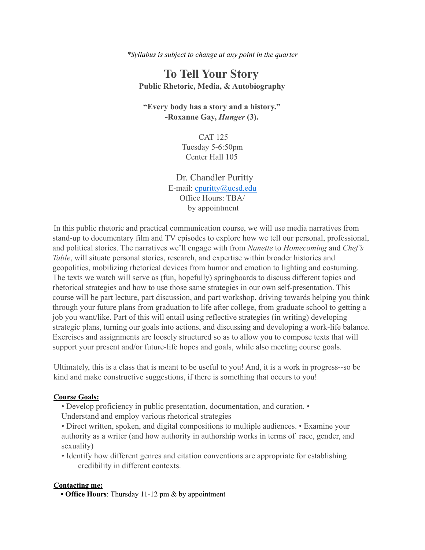*\*Syllabus is subject to change at any point in the quarter*

# **To Tell Your Story Public Rhetoric, Media, & Autobiography**

**"Every body has a story and a history." -Roxanne Gay,** *Hunger* **(3).**

> CAT 125 Tuesday 5-6:50pm Center Hall 105

Dr. Chandler Puritty E-mail: cpuritty@ucsd.edu Office Hours: TBA/ by appointment

In this public rhetoric and practical communication course, we will use media narratives from stand-up to documentary film and TV episodes to explore how we tell our personal, professional, and political stories. The narratives we'll engage with from *Nanette* to *Homecoming* and *Chef's Table*, will situate personal stories, research, and expertise within broader histories and geopolitics, mobilizing rhetorical devices from humor and emotion to lighting and costuming. The texts we watch will serve as (fun, hopefully) springboards to discuss different topics and rhetorical strategies and how to use those same strategies in our own self-presentation. This course will be part lecture, part discussion, and part workshop, driving towards helping you think through your future plans from graduation to life after college, from graduate school to getting a job you want/like. Part of this will entail using reflective strategies (in writing) developing strategic plans, turning our goals into actions, and discussing and developing a work-life balance. Exercises and assignments are loosely structured so as to allow you to compose texts that will support your present and/or future-life hopes and goals, while also meeting course goals.

Ultimately, this is a class that is meant to be useful to you! And, it is a work in progress--so be kind and make constructive suggestions, if there is something that occurs to you!

#### **Course Goals:**

- Develop proficiency in public presentation, documentation, and curation. •
- Understand and employ various rhetorical strategies

• Direct written, spoken, and digital compositions to multiple audiences. • Examine your authority as a writer (and how authority in authorship works in terms of race, gender, and sexuality)

• Identify how different genres and citation conventions are appropriate for establishing credibility in different contexts.

#### **Contacting me:**

**• Office Hours**: Thursday 11-12 pm & by appointment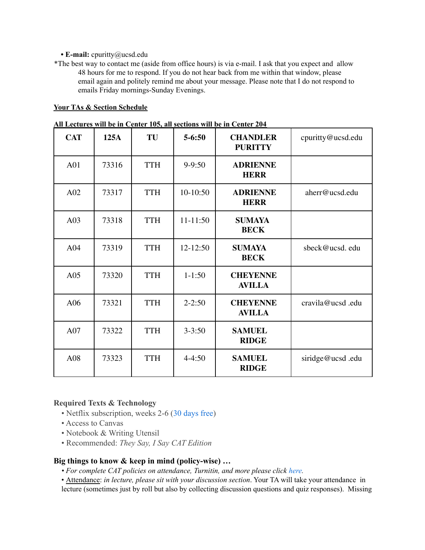### **• E-mail:** cpuritty@ucsd.edu

\*The best way to contact me (aside from office hours) is via e-mail. I ask that you expect and allow 48 hours for me to respond. If you do not hear back from me within that window, please email again and politely remind me about your message. Please note that I do not respond to emails Friday mornings-Sunday Evenings.

### **Your TAs & Section Schedule**

|            |       |            |            | ги пссигсэ мигрс нг сентег тоэ, ан эссионэ мигрс нг сентег дот |                   |
|------------|-------|------------|------------|----------------------------------------------------------------|-------------------|
| <b>CAT</b> | 125A  | TU         | $5 - 6:50$ | <b>CHANDLER</b><br><b>PURITTY</b>                              | cpuritty@ucsd.edu |
| A01        | 73316 | <b>TTH</b> | $9 - 9:50$ | <b>ADRIENNE</b><br><b>HERR</b>                                 |                   |
| A02        | 73317 | <b>TTH</b> | 10-10:50   | <b>ADRIENNE</b><br><b>HERR</b>                                 | aherr@ucsd.edu    |
| A03        | 73318 | <b>TTH</b> | 11-11:50   | <b>SUMAYA</b><br><b>BECK</b>                                   |                   |
| A04        | 73319 | <b>TTH</b> | 12-12:50   | <b>SUMAYA</b><br><b>BECK</b>                                   | sbeck@ucsd.edu    |
| A05        | 73320 | <b>TTH</b> | $1-1:50$   | <b>CHEYENNE</b><br><b>AVILLA</b>                               |                   |
| A06        | 73321 | <b>TTH</b> | $2 - 2:50$ | <b>CHEYENNE</b><br><b>AVILLA</b>                               | cravila@ucsd.edu  |
| A07        | 73322 | <b>TTH</b> | $3 - 3:50$ | <b>SAMUEL</b><br><b>RIDGE</b>                                  |                   |
| A08        | 73323 | <b>TTH</b> | $4 - 4:50$ | <b>SAMUEL</b><br><b>RIDGE</b>                                  | siridge@ucsd.edu  |

|  | All Lectures will be in Center 105, all sections will be in Center 204 |  |
|--|------------------------------------------------------------------------|--|
|  |                                                                        |  |

# **Required Texts & Technology**

- Netflix subscription, weeks 2-6 (30 days free)
- Access to Canvas
- Notebook & Writing Utensil
- Recommended: *They Say, I Say CAT Edition*

### **Big things to know & keep in mind (policy-wise) …**

- *• For complete CAT policies on attendance, Turnitin, and more please click here.*
- Attendance: *in lecture, please sit with your discussion section*. Your TA will take your attendance in lecture (sometimes just by roll but also by collecting discussion questions and quiz responses). Missing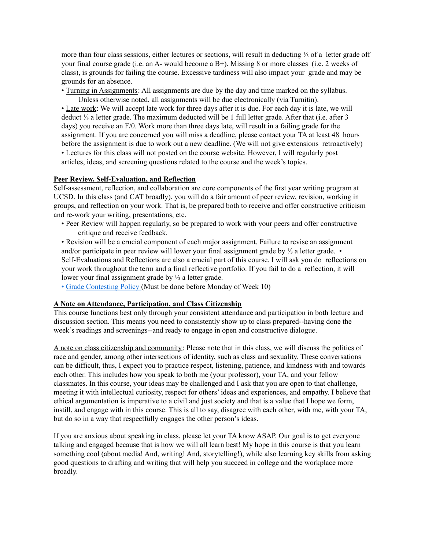more than four class sessions, either lectures or sections, will result in deducting ⅓ of a letter grade off your final course grade (i.e. an A- would become a  $B+$ ). Missing 8 or more classes (i.e. 2 weeks of class), is grounds for failing the course. Excessive tardiness will also impact your grade and may be grounds for an absence.

• Turning in Assignments: All assignments are due by the day and time marked on the syllabus. Unless otherwise noted, all assignments will be due electronically (via Turnitin).

• Late work: We will accept late work for three days after it is due. For each day it is late, we will deduct ⅓ a letter grade. The maximum deducted will be 1 full letter grade. After that (i.e. after 3 days) you receive an F/0. Work more than three days late, will result in a failing grade for the assignment. If you are concerned you will miss a deadline, please contact your TA at least 48 hours before the assignment is due to work out a new deadline. (We will not give extensions retroactively)

• Lectures for this class will not posted on the course website. However, I will regularly post articles, ideas, and screening questions related to the course and the week's topics.

#### **Peer Review, Self-Evaluation, and Reflection**

Self-assessment, reflection, and collaboration are core components of the first year writing program at UCSD. In this class (and CAT broadly), you will do a fair amount of peer review, revision, working in groups, and reflection on your work. That is, be prepared both to receive and offer constructive criticism and re-work your writing, presentations, etc.

• Peer Review will happen regularly, so be prepared to work with your peers and offer constructive critique and receive feedback.

• Revision will be a crucial component of each major assignment. Failure to revise an assignment and/or participate in peer review will lower your final assignment grade by ⅓ a letter grade. • Self-Evaluations and Reflections are also a crucial part of this course. I will ask you do reflections on your work throughout the term and a final reflective portfolio. If you fail to do a reflection, it will lower your final assignment grade by ⅓ a letter grade.

• Grade Contesting Policy (Must be done before Monday of Week 10)

#### **A Note on Attendance, Participation, and Class Citizenship**

This course functions best only through your consistent attendance and participation in both lecture and discussion section. This means you need to consistently show up to class prepared--having done the week's readings and screenings--and ready to engage in open and constructive dialogue.

A note on class citizenship and community: Please note that in this class, we will discuss the politics of race and gender, among other intersections of identity, such as class and sexuality. These conversations can be difficult, thus, I expect you to practice respect, listening, patience, and kindness with and towards each other. This includes how you speak to both me (your professor), your TA, and your fellow classmates. In this course, your ideas may be challenged and I ask that you are open to that challenge, meeting it with intellectual curiosity, respect for others' ideas and experiences, and empathy. I believe that ethical argumentation is imperative to a civil and just society and that is a value that I hope we form, instill, and engage with in this course. This is all to say, disagree with each other, with me, with your TA, but do so in a way that respectfully engages the other person's ideas.

If you are anxious about speaking in class, please let your TA know ASAP. Our goal is to get everyone talking and engaged because that is how we will all learn best! My hope in this course is that you learn something cool (about media! And, writing! And, storytelling!), while also learning key skills from asking good questions to drafting and writing that will help you succeed in college and the workplace more broadly.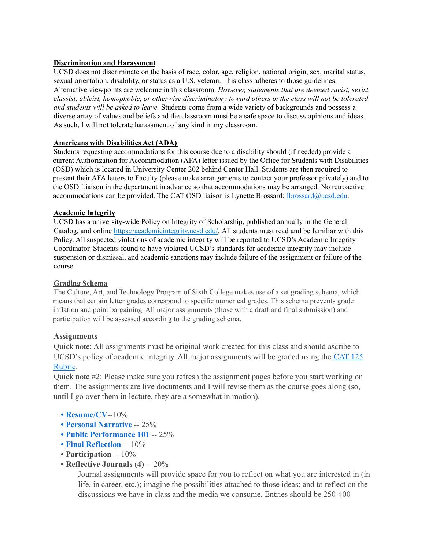## **Discrimination and Harassment**

UCSD does not discriminate on the basis of race, color, age, religion, national origin, sex, marital status, sexual orientation, disability, or status as a U.S. veteran. This class adheres to those guidelines. Alternative viewpoints are welcome in this classroom. *However, statements that are deemed racist, sexist, classist, ableist, homophobic, or otherwise discriminatory toward others in the class will not be tolerated and students will be asked to leave.* Students come from a wide variety of backgrounds and possess a diverse array of values and beliefs and the classroom must be a safe space to discuss opinions and ideas. As such, I will not tolerate harassment of any kind in my classroom.

## **Americans with Disabilities Act (ADA)**

Students requesting accommodations for this course due to a disability should (if needed) provide a current Authorization for Accommodation (AFA) letter issued by the Office for Students with Disabilities (OSD) which is located in University Center 202 behind Center Hall. Students are then required to present their AFA letters to Faculty (please make arrangements to contact your professor privately) and to the OSD Liaison in the department in advance so that accommodations may be arranged. No retroactive accommodations can be provided. The CAT OSD liaison is Lynette Brossard: lbrossard@ucsd.edu.

## **Academic Integrity**

UCSD has a university-wide Policy on Integrity of Scholarship, published annually in the General Catalog, and online https://academicintegrity.ucsd.edu/. All students must read and be familiar with this Policy. All suspected violations of academic integrity will be reported to UCSD's Academic Integrity Coordinator. Students found to have violated UCSD's standards for academic integrity may include suspension or dismissal, and academic sanctions may include failure of the assignment or failure of the course.

# **Grading Schema**

The Culture, Art, and Technology Program of Sixth College makes use of a set grading schema, which means that certain letter grades correspond to specific numerical grades. This schema prevents grade inflation and point bargaining. All major assignments (those with a draft and final submission) and participation will be assessed according to the grading schema.

# **Assignments**

Quick note: All assignments must be original work created for this class and should ascribe to UCSD's policy of academic integrity. All major assignments will be graded using the CAT 125 Rubric.

Quick note #2: Please make sure you refresh the assignment pages before you start working on them. The assignments are live documents and I will revise them as the course goes along (so, until I go over them in lecture, they are a somewhat in motion).

- **• Resume/CV**--10%
- **• Personal Narrative** -- 25%
- **• Public Performance 101** -- 25%
- **• Final Reflection** -- 10%
- **• Participation** -- 10%
- **• Reflective Journals (4)** -- 20%

Journal assignments will provide space for you to reflect on what you are interested in (in life, in career, etc.); imagine the possibilities attached to those ideas; and to reflect on the discussions we have in class and the media we consume. Entries should be 250-400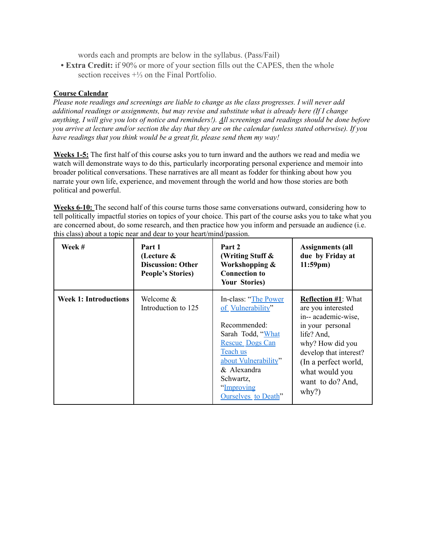words each and prompts are below in the syllabus. (Pass/Fail)

**• Extra Credit:** if 90% or more of your section fills out the CAPES, then the whole section receives  $+\frac{1}{3}$  on the Final Portfolio.

# **Course Calendar**

*Please note readings and screenings are liable to change as the class progresses. I will never add additional readings or assignments, but may revise and substitute what is already here (If I change* anything, I will give you lots of notice and reminders!). All screenings and readings should be done before you arrive at lecture and/or section the day that they are on the calendar (unless stated otherwise). If you *have readings that you think would be a great fit, please send them my way!*

**Weeks 1-5:** The first half of this course asks you to turn inward and the authors we read and media we watch will demonstrate ways to do this, particularly incorporating personal experience and memoir into broader political conversations. These narratives are all meant as fodder for thinking about how you narrate your own life, experience, and movement through the world and how those stories are both political and powerful.

**Weeks 6-10:** The second half of this course turns those same conversations outward, considering how to tell politically impactful stories on topics of your choice. This part of the course asks you to take what you are concerned about, do some research, and then practice how you inform and persuade an audience (i.e. this class) about a topic near and dear to your heart/mind/passion.

| Week #                       | Part 1<br>(Lecture $\&$<br><b>Discussion: Other</b><br><b>People's Stories)</b> | Part 2<br>(Writing Stuff &<br>Workshopping &<br><b>Connection to</b><br><b>Your Stories)</b>                                                                                                                   | <b>Assignments (all</b><br>due by Friday at<br>$11:59$ pm)                                                                                                                                                                     |
|------------------------------|---------------------------------------------------------------------------------|----------------------------------------------------------------------------------------------------------------------------------------------------------------------------------------------------------------|--------------------------------------------------------------------------------------------------------------------------------------------------------------------------------------------------------------------------------|
| <b>Week 1: Introductions</b> | Welcome &<br>Introduction to 125                                                | In-class: "The Power"<br>of Vulnerability"<br>Recommended:<br>Sarah Todd, "What<br><b>Rescue Dogs Can</b><br>Teach us<br>about Vulnerability"<br>& Alexandra<br>Schwartz,<br>"Improving<br>Ourselves to Death" | <b>Reflection #1: What</b><br>are you interested<br>in-- academic-wise,<br>in your personal<br>life? And,<br>why? How did you<br>develop that interest?<br>(In a perfect world,<br>what would you<br>want to do? And,<br>why?) |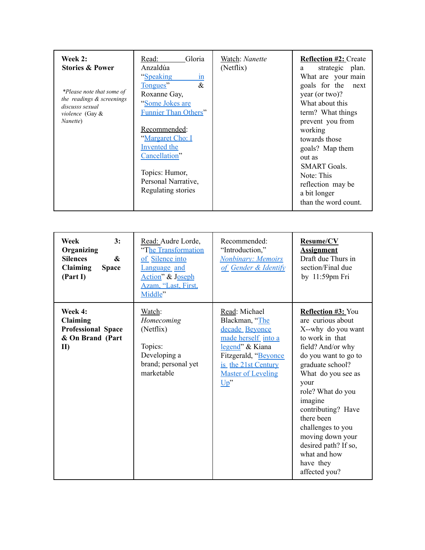| Week 2:<br><b>Stories &amp; Power</b>                                                                    | Read:<br>Gloria<br>Anzaldúa                                                                                                                                                                                                                      | Watch: Nanette<br>(Netflix) | <b>Reflection #2: Create</b><br>strategic plan.<br>a                                                                                                                                                                                                                              |
|----------------------------------------------------------------------------------------------------------|--------------------------------------------------------------------------------------------------------------------------------------------------------------------------------------------------------------------------------------------------|-----------------------------|-----------------------------------------------------------------------------------------------------------------------------------------------------------------------------------------------------------------------------------------------------------------------------------|
| *Please note that some of<br>the readings & screenings<br>discusss sexual<br>violence (Gay &<br>Nanette) | "Speaking<br>1n<br>$\&$<br>Tongues"<br>Roxanne Gay,<br>"Some Jokes are<br><b>Funnier Than Others"</b><br>Recommended:<br>"Margaret Cho: I<br><b>Invented the</b><br>Cancellation"<br>Topics: Humor,<br>Personal Narrative,<br>Regulating stories |                             | What are your main<br>goals for the next<br>year (or two)?<br>What about this<br>term? What things<br>prevent you from<br>working<br>towards those<br>goals? Map them<br>out as<br><b>SMART</b> Goals.<br>Note: This<br>reflection may be<br>a bit longer<br>than the word count. |

| 3:<br>Week<br>Organizing<br>$\boldsymbol{\&}$<br><b>Silences</b><br><b>Claiming</b><br><b>Space</b><br>(Part I) | Read: Audre Lorde,<br>"The Transformation<br>of Silence into<br>Language and<br>Action" & Joseph<br>Azam, "Last, First,<br>Middle" | Recommended:<br>"Introduction,"<br><b>Nonbinary: Memoirs</b><br>of Gender & Identify                                                                                            | Resume/CV<br><b>Assignment</b><br>Draft due Thurs in<br>section/Final due<br>by $11:59$ pm Fri                                                                                                                                                                                                                                                                            |
|-----------------------------------------------------------------------------------------------------------------|------------------------------------------------------------------------------------------------------------------------------------|---------------------------------------------------------------------------------------------------------------------------------------------------------------------------------|---------------------------------------------------------------------------------------------------------------------------------------------------------------------------------------------------------------------------------------------------------------------------------------------------------------------------------------------------------------------------|
| Week 4:<br>Claiming<br><b>Professional Space</b><br>& On Brand (Part<br>$\mathbf{I}$                            | Watch:<br>Homecoming<br>(Netflix)<br>Topics:<br>Developing a<br>brand; personal yet<br>marketable                                  | Read: Michael<br>Blackman, "The<br>decade Beyonce<br>made herself into a<br>legend" & Kiana<br>Fitzgerald, "Beyonce<br>is the 21st Century<br><b>Master of Leveling</b><br>Up'' | <b>Reflection #3: You</b><br>are curious about<br>X--why do you want<br>to work in that<br>field? And/or why<br>do you want to go to<br>graduate school?<br>What do you see as<br>your<br>role? What do you<br>imagine<br>contributing? Have<br>there been<br>challenges to you<br>moving down your<br>desired path? If so,<br>what and how<br>have they<br>affected you? |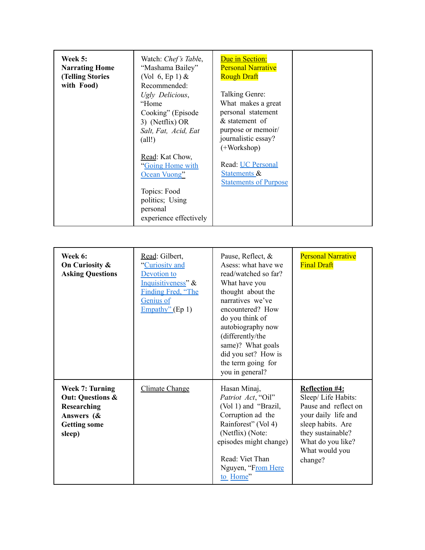| <b>Week 5:</b><br><b>Narrating Home</b><br><b>(Telling Stories)</b><br>with Food) | Watch: Chef's Table,<br>"Mashama Bailey"<br>(Vol. 6, Ep. 1) $&$<br>Recommended:<br>Ugly Delicious,<br>"Home<br>Cooking" (Episode<br>3) (Netflix) OR<br>Salt, Fat, Acid, Eat<br>$\text{(all!)}$<br>Read: Kat Chow,<br>"Going Home with"<br>Ocean Vuong"<br>Topics: Food | Due in Section:<br><b>Personal Narrative</b><br><b>Rough Draft</b><br>Talking Genre:<br>What makes a great<br>personal statement<br>& statement of<br>purpose or memoir/<br>journalistic essay?<br>$(+Workshop)$<br>Read: UC Personal<br><b>Statements &amp;</b><br><b>Statements of Purpose</b> |  |
|-----------------------------------------------------------------------------------|------------------------------------------------------------------------------------------------------------------------------------------------------------------------------------------------------------------------------------------------------------------------|--------------------------------------------------------------------------------------------------------------------------------------------------------------------------------------------------------------------------------------------------------------------------------------------------|--|
|                                                                                   | politics; Using<br>personal<br>experience effectively                                                                                                                                                                                                                  |                                                                                                                                                                                                                                                                                                  |  |

| Week 6:<br>On Curiosity &<br><b>Asking Questions</b>                                                         | Read: Gilbert,<br>"Curiosity and<br>Devotion to<br>Inquisitiveness" &<br>Finding Fred, "The<br>Genius of<br>Empathy" (Ep 1) | Pause, Reflect, &<br>Asess: what have we<br>read/watched so far?<br>What have you<br>thought about the<br>narratives we've<br>encountered? How<br>do you think of<br>autobiography now<br>(differently/the<br>same)? What goals<br>did you set? How is<br>the term going for<br>you in general? | <b>Personal Narrative</b><br><b>Final Draft</b>                                                                                                                                        |
|--------------------------------------------------------------------------------------------------------------|-----------------------------------------------------------------------------------------------------------------------------|-------------------------------------------------------------------------------------------------------------------------------------------------------------------------------------------------------------------------------------------------------------------------------------------------|----------------------------------------------------------------------------------------------------------------------------------------------------------------------------------------|
| Week 7: Turning<br><b>Out: Questions &amp;</b><br>Researching<br>Answers (&<br><b>Getting some</b><br>sleep) | Climate Change                                                                                                              | Hasan Minaj,<br>Patriot Act, "Oil"<br>(Vol 1) and "Brazil,<br>Corruption ad the<br>Rainforest" (Vol 4)<br>(Netflix) (Note:<br>episodes might change)<br>Read: Viet Than<br>Nguyen, "From Here<br>to Home"                                                                                       | <b>Reflection #4:</b><br>Sleep/Life Habits:<br>Pause and reflect on<br>your daily life and<br>sleep habits. Are<br>they sustainable?<br>What do you like?<br>What would you<br>change? |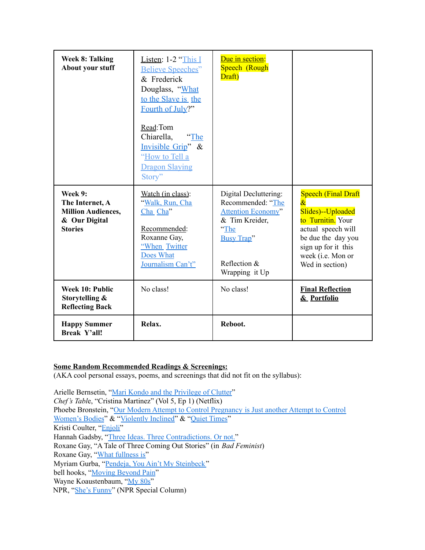| <b>Week 8: Talking</b><br>About your stuff                                                 | Listen: $1-2$ "This I<br><b>Believe Speeches"</b><br>& Frederick<br>Douglass, "What<br>to the Slave is the<br>Fourth of July?"<br>Read:Tom<br>Chiarella,<br>"The<br>Invisible Grip" &<br>"How to Tell a<br><b>Dragon Slaying</b><br>Story" | Due in section:<br>Speech (Rough<br>Draft)                                                                                                               |                                                                                                                                                                                                          |
|--------------------------------------------------------------------------------------------|--------------------------------------------------------------------------------------------------------------------------------------------------------------------------------------------------------------------------------------------|----------------------------------------------------------------------------------------------------------------------------------------------------------|----------------------------------------------------------------------------------------------------------------------------------------------------------------------------------------------------------|
| Week 9:<br>The Internet, A<br><b>Million Audiences,</b><br>& Our Digital<br><b>Stories</b> | Watch (in class):<br>"Walk, Run, Cha<br>Cha Cha"<br>Recommended:<br>Roxanne Gay,<br>"When Twitter<br>Does What<br>Journalism Can't"                                                                                                        | Digital Decluttering:<br>Recommended: "The<br><b>Attention Economy"</b><br>& Tim Kreider,<br>"The<br><b>Busy Trap"</b><br>Reflection &<br>Wrapping it Up | <b>Speech (Final Draft</b><br>$\mathcal{X}_{\cdot}$<br>Slides)--Uploaded<br>to Turnitin. Your<br>actual speech will<br>be due the day you<br>sign up for it this<br>week (i.e. Mon or<br>Wed in section) |
| Week 10: Public<br>Storytelling &<br><b>Reflecting Back</b>                                | No class!                                                                                                                                                                                                                                  | No class!                                                                                                                                                | <b>Final Reflection</b><br>& Portfolio                                                                                                                                                                   |
| <b>Happy Summer</b><br><b>Break Y'all!</b>                                                 | Relax.                                                                                                                                                                                                                                     | Reboot.                                                                                                                                                  |                                                                                                                                                                                                          |

# **Some Random Recommended Readings & Screenings:**

(AKA cool personal essays, poems, and screenings that did not fit on the syllabus):

Arielle Bernsetin, "Mari Kondo and the Privilege of Clutter" *Chef's Tabl*e, "Cristina Martinez" (Vol 5, Ep 1) (Netflix) Phoebe Bronstein, "Our Modern Attempt to Control Pregnancy is Just another Attempt to Control Women's Bodies" & "Violently Inclined" & "Quiet Times" Kristi Coulter, "Enjoli" Hannah Gadsby, "Three Ideas. Three Contradictions. Or not." Roxane Gay, "A Tale of Three Coming Out Stories" (in *Bad Feminist*) Roxane Gay, "What fullness is" Myriam Gurba, "Pendeja, You Ain't My Steinbeck" bell hooks, "Moving Beyond Pain" Wayne Koaustenbaum, "My 80s" NPR, "She's Funny" (NPR Special Column)